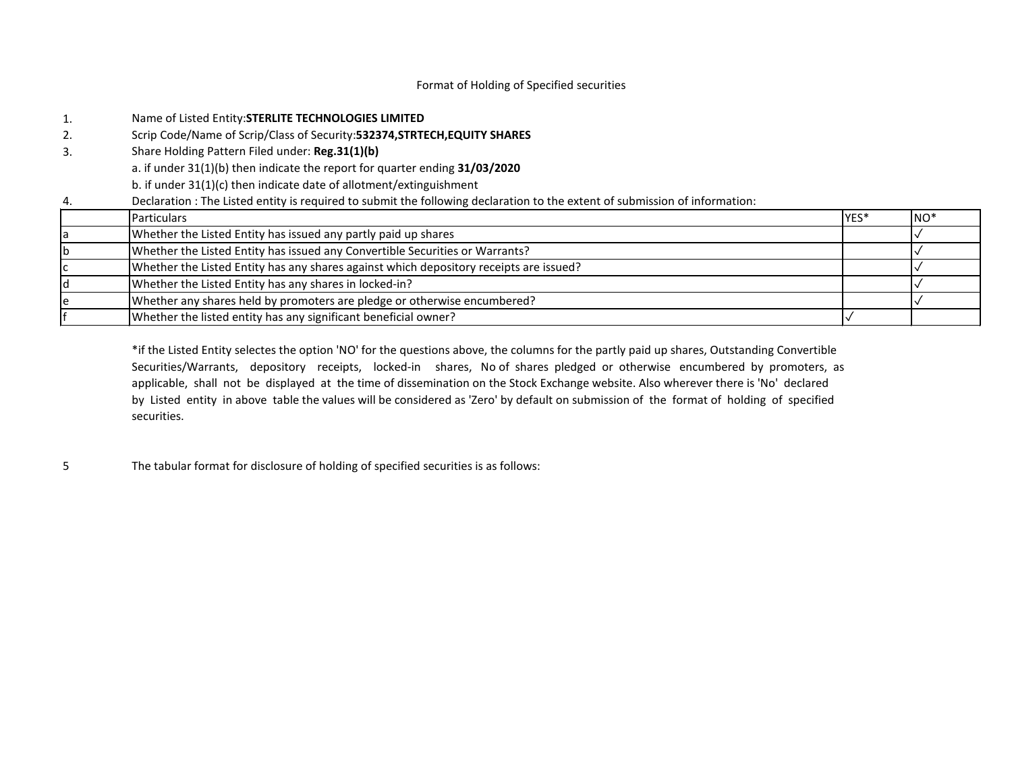## Format of Holding of Specified securities

|    | Name of Listed Entity: STERLITE TECHNOLOGIES LIMITED                                                                        |      |       |
|----|-----------------------------------------------------------------------------------------------------------------------------|------|-------|
| 2. | Scrip Code/Name of Scrip/Class of Security: 532374, STRTECH, EQUITY SHARES                                                  |      |       |
| 3. | Share Holding Pattern Filed under: Reg.31(1)(b)                                                                             |      |       |
|    | a. if under 31(1)(b) then indicate the report for quarter ending 31/03/2020                                                 |      |       |
|    | b. if under 31(1)(c) then indicate date of allotment/extinguishment                                                         |      |       |
| 4. | Declaration : The Listed entity is required to submit the following declaration to the extent of submission of information: |      |       |
|    | <b>Particulars</b>                                                                                                          | YES* | $NO*$ |
|    | Whether the Listed Entity has issued any partly paid up shares                                                              |      |       |
|    | Whether the Listed Entity has issued any Convertible Securities or Warrants?                                                |      |       |
|    | Whether the Listed Entity has any shares against which depository receipts are issued?                                      |      |       |
|    | Whether the Listed Entity has any shares in locked-in?                                                                      |      |       |
|    | Whether any shares held by promoters are pledge or otherwise encumbered?                                                    |      |       |
|    | Whether the listed entity has any significant beneficial owner?                                                             |      |       |

\*if the Listed Entity selectes the option 'NO' for the questions above, the columns for the partly paid up shares, Outstanding Convertible Securities/Warrants, depository receipts, locked-in shares, No of shares pledged or otherwise encumbered by promoters, as applicable, shall not be displayed at the time of dissemination on the Stock Exchange website. Also wherever there is 'No' declared by Listed entity in above table the values will be considered as 'Zero' by default on submission of the format of holding of specified securities.

5 The tabular format for disclosure of holding of specified securities is as follows: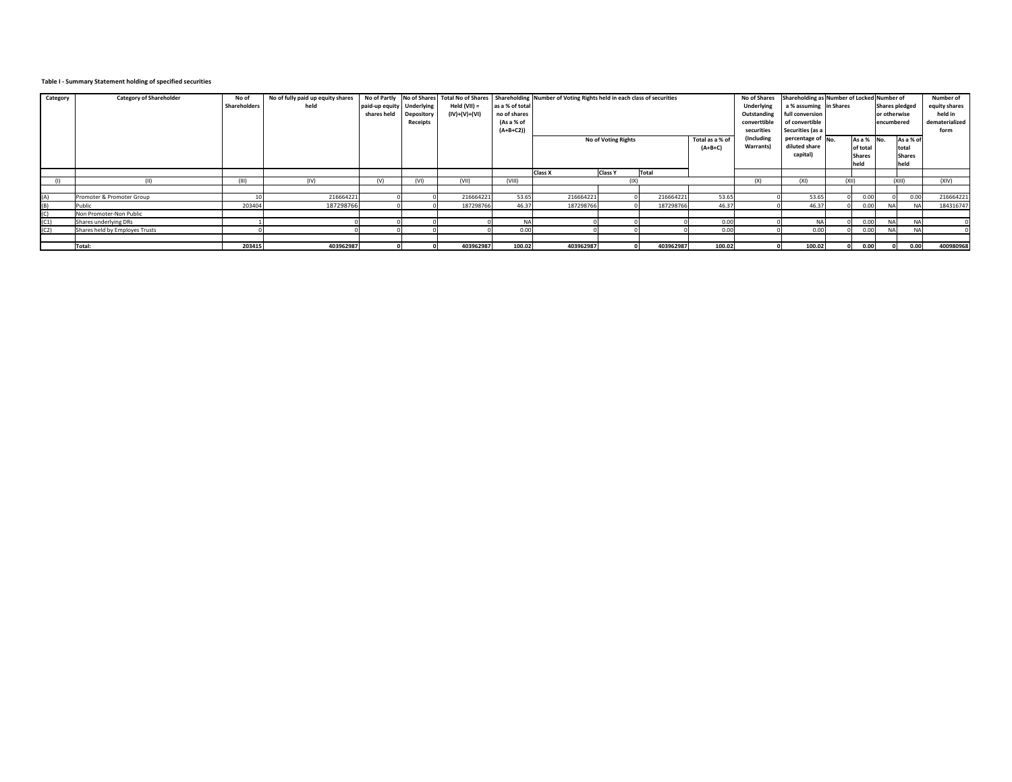## **Table I - Summary Statement holding of specified securities**

| Category | <b>Category of Shareholder</b> | No of<br><b>Shareholders</b> | No of fully paid up equity shares<br>held | paid-up equity   Underlying<br>shares held | <b>Depository</b><br>Receipts | No of Partly   No of Shares   Total No of Shares<br>Held (VII) =<br>(IV)+(V)+(VI) | as a % of total<br>no of shares<br>(As a % of<br>$(A+B+C2)$ | Shareholding Number of Voting Rights held in each class of securities |       |                              |                                 | <b>No of Shares</b><br><b>Underlying</b><br>Outstanding<br>converttible<br>securities | Shareholding as Number of Locked Number of<br>a % assuming   in Shares<br>full conversion<br>of convertible<br>Securities (as a |                                                         |                                             | <b>Shares pledged</b><br>lor otherwise<br>encumbered |      | <b>Number of</b><br>equity shares<br>held in<br>dematerialized<br>form |
|----------|--------------------------------|------------------------------|-------------------------------------------|--------------------------------------------|-------------------------------|-----------------------------------------------------------------------------------|-------------------------------------------------------------|-----------------------------------------------------------------------|-------|------------------------------|---------------------------------|---------------------------------------------------------------------------------------|---------------------------------------------------------------------------------------------------------------------------------|---------------------------------------------------------|---------------------------------------------|------------------------------------------------------|------|------------------------------------------------------------------------|
|          |                                |                              |                                           |                                            |                               |                                                                                   |                                                             | <b>No of Voting Rights</b>                                            |       | Total as a % of<br>$(A+B+C)$ | (Including<br><b>Warrants</b> ) | percentage of $N_0$ .<br>diluted share<br>capital)                                    |                                                                                                                                 | As a % $\vert$ No.<br>of total<br><b>Shares</b><br>held | As a % of<br>total<br><b>Shares</b><br>held |                                                      |      |                                                                        |
|          |                                |                              |                                           |                                            |                               |                                                                                   | <b>Class X</b>                                              | <b>Class Y</b>                                                        | Total |                              |                                 |                                                                                       |                                                                                                                                 |                                                         |                                             |                                                      |      |                                                                        |
|          |                                | (III)                        | (IV)                                      | (V)                                        | (VI)                          | (VII)                                                                             | (VIII)                                                      |                                                                       | (IX)  |                              |                                 | (X)                                                                                   | (XI)                                                                                                                            | (X  )                                                   |                                             | (XIII)                                               |      | (XIV)                                                                  |
| (A)      | Promoter & Promoter Group      |                              | 216664221                                 |                                            |                               | 216664221                                                                         | 53.65                                                       | 216664221                                                             |       | 216664221                    | 53.65                           |                                                                                       | 53.65                                                                                                                           |                                                         | 0.00                                        |                                                      | 0.00 | 216664221                                                              |
|          | Public                         | 203404                       | 187298766                                 |                                            |                               | 187298766                                                                         | 46.37                                                       | 187298766                                                             |       | 187298766                    | 46.37                           |                                                                                       | 46.37                                                                                                                           |                                                         | 0.00                                        |                                                      |      | 184316747                                                              |
|          | Non Promoter-Non Public        |                              |                                           |                                            |                               |                                                                                   |                                                             |                                                                       |       |                              |                                 |                                                                                       |                                                                                                                                 |                                                         |                                             |                                                      |      |                                                                        |
|          | Shares underlying DRs          |                              |                                           |                                            |                               |                                                                                   |                                                             |                                                                       |       |                              | 0.00                            |                                                                                       | <b>NA</b>                                                                                                                       |                                                         | 0.00                                        | <b>NA</b>                                            |      |                                                                        |
| (C2)     | Shares held by Employes Trusts |                              |                                           |                                            |                               |                                                                                   | 0.00                                                        |                                                                       |       |                              | 0.00                            |                                                                                       | 0.00                                                                                                                            |                                                         | 0.00                                        | <b>NA</b>                                            |      |                                                                        |
|          |                                |                              |                                           |                                            |                               |                                                                                   |                                                             |                                                                       |       |                              |                                 |                                                                                       |                                                                                                                                 |                                                         |                                             |                                                      |      |                                                                        |
|          | Total:                         | 203415                       | 403962987                                 |                                            |                               | 403962987                                                                         | 100.02                                                      | 403962987                                                             |       | 403962987                    | 100.02                          |                                                                                       | 100.02                                                                                                                          | 01                                                      | 0.00                                        |                                                      | 0.00 | 400980968                                                              |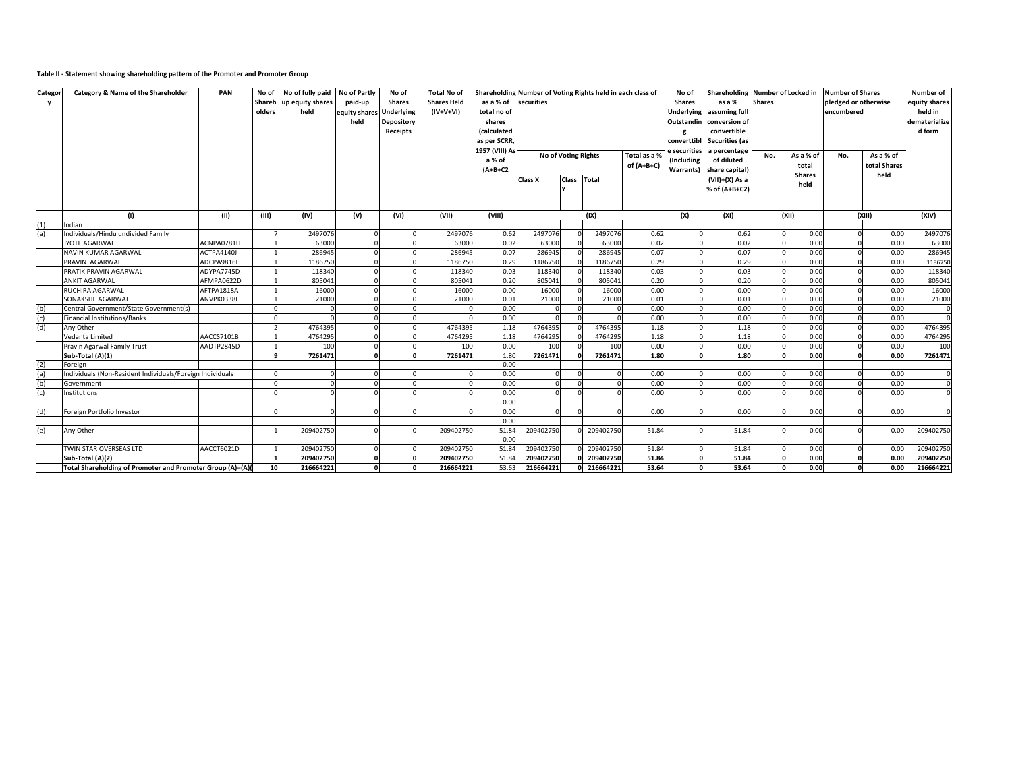## **Table II - Statement showing shareholding pattern of the Promoter and Promoter Group**

| Categor    | <b>Category &amp; Name of the Shareholder</b>                        | <b>PAN</b> | $No$ of $\parallel$<br>olders | No of fully paid   No of Partly<br>Shareh   up equity shares<br>held | paid-up<br>equity shares Underlying<br>held | No of<br><b>Shares</b><br><b>Depository</b><br>Receipts | <b>Total No of</b><br><b>Shares Held</b><br>$(IV+V+VI)$ | as a % of<br>total no of<br>shares<br>(calculated<br>as per SCRR,<br>1957 (VIII) As<br>a % of<br>$(A+B+C2$ | Shareholding Number of Voting Rights held in each class of<br>securities<br>No of Voting Rights<br><b>Class</b><br><b>Class X</b> | Total          | No of<br><b>Shares</b><br>(Including | Shareholding Number of Locked in<br>as a %<br>Underlying   assuming full<br>Outstandin   conversion of<br>convertible<br>converttibl   Securities (as<br>e securities   a percentage<br>of diluted<br>Warrants) $ $ share capital)<br>$(VII)+(X)$ As a<br>$\frac{1}{6}$ of (A+B+C2) | <b>Shares</b><br>No. | As a % of<br>total<br><b>Shares</b><br>held | Number of Shares<br>pledged or otherwise<br>encumbered<br>As a % of<br>No.<br>total Shares<br>held | Number of<br>equity shares<br>held in<br>dematerialize<br>d form |           |
|------------|----------------------------------------------------------------------|------------|-------------------------------|----------------------------------------------------------------------|---------------------------------------------|---------------------------------------------------------|---------------------------------------------------------|------------------------------------------------------------------------------------------------------------|-----------------------------------------------------------------------------------------------------------------------------------|----------------|--------------------------------------|-------------------------------------------------------------------------------------------------------------------------------------------------------------------------------------------------------------------------------------------------------------------------------------|----------------------|---------------------------------------------|----------------------------------------------------------------------------------------------------|------------------------------------------------------------------|-----------|
|            | (1)                                                                  | (11)       | (III)                         | (IV)                                                                 | (V)                                         | (VI)                                                    | (VII)                                                   | (VIII)                                                                                                     |                                                                                                                                   | (IX)           |                                      | (X)                                                                                                                                                                                                                                                                                 | (XI)                 |                                             | (XII)                                                                                              | (XIII)                                                           | (XIV)     |
| (1)        | Indian                                                               |            |                               |                                                                      |                                             |                                                         |                                                         |                                                                                                            |                                                                                                                                   |                |                                      |                                                                                                                                                                                                                                                                                     |                      |                                             |                                                                                                    |                                                                  |           |
| (a)        | Individuals/Hindu undivided Family                                   |            |                               | 2497076                                                              |                                             |                                                         | 2497076                                                 | 0.62                                                                                                       | 2497076                                                                                                                           | 2497076        | 0.62                                 |                                                                                                                                                                                                                                                                                     | 0.62                 |                                             | 0.00                                                                                               | 0.00                                                             | 2497076   |
|            | JYOTI AGARWAL                                                        | ACNPA0781H |                               | 63000                                                                |                                             |                                                         | 63000                                                   | 0.02                                                                                                       | 63000                                                                                                                             | 63000          | 0.02                                 |                                                                                                                                                                                                                                                                                     | 0.02                 |                                             | 0.00                                                                                               | 0.00                                                             | 63000     |
|            | <b>NAVIN KUMAR AGARWAL</b>                                           | ACTPA4140J |                               | 286945                                                               |                                             |                                                         | 286945                                                  | 0.07                                                                                                       | 286945                                                                                                                            | 286945         | 0.07                                 |                                                                                                                                                                                                                                                                                     | 0.07                 |                                             | 0.00                                                                                               | 0.00                                                             | 286945    |
|            | PRAVIN AGARWAL                                                       | ADCPA9816F |                               | 1186750                                                              |                                             |                                                         | 1186750                                                 | 0.29                                                                                                       | 1186750                                                                                                                           | 1186750        | 0.29                                 |                                                                                                                                                                                                                                                                                     | 0.29                 |                                             | 0.00                                                                                               | 0.00                                                             | 1186750   |
|            | PRATIK PRAVIN AGARWAL                                                | ADYPA7745D |                               | 118340                                                               |                                             |                                                         | 118340                                                  | 0.03                                                                                                       | 118340                                                                                                                            | 118340         | 0.03                                 |                                                                                                                                                                                                                                                                                     | 0.03                 |                                             | 0.00                                                                                               | 0.00                                                             | 118340    |
|            | <b>ANKIT AGARWAL</b>                                                 | AFMPA0622D |                               | 805041                                                               |                                             |                                                         | 805041                                                  | 0.20                                                                                                       | 805041                                                                                                                            | 805041         | 0.20                                 |                                                                                                                                                                                                                                                                                     | 0.20                 |                                             | 0.00                                                                                               | 0.00                                                             | 805041    |
|            | <b>RUCHIRA AGARWAL</b>                                               | AFTPA1818A |                               | 16000                                                                |                                             |                                                         | 16000                                                   | 0.00                                                                                                       | 16000                                                                                                                             | 16000          | 0.00                                 |                                                                                                                                                                                                                                                                                     | 0.00                 |                                             | 0.00                                                                                               | 0.00                                                             | 16000     |
|            | SONAKSHI AGARWAL                                                     | ANVPK0338F |                               | 21000                                                                |                                             |                                                         | 21000                                                   | 0.01                                                                                                       | 21000                                                                                                                             | 21000          | 0.01                                 |                                                                                                                                                                                                                                                                                     | 0.01                 |                                             | 0.00                                                                                               | 0.00                                                             | 21000     |
| (b)        | Central Government/State Government(s)                               |            |                               |                                                                      |                                             |                                                         |                                                         | 0.00                                                                                                       |                                                                                                                                   |                | 0.00                                 |                                                                                                                                                                                                                                                                                     | 0.00                 |                                             | 0.00                                                                                               | 0.00                                                             |           |
| (c)        | Financial Institutions/Banks                                         |            |                               |                                                                      |                                             |                                                         |                                                         | 0.00                                                                                                       |                                                                                                                                   |                | 0.00                                 |                                                                                                                                                                                                                                                                                     | 0.00                 |                                             | 0.00                                                                                               | 0.00                                                             | $\Omega$  |
| (d)        | Any Other                                                            |            |                               | 4764395                                                              |                                             |                                                         | 4764395                                                 | 1.18                                                                                                       | 4764395                                                                                                                           | 4764395        | 1.18                                 |                                                                                                                                                                                                                                                                                     | 1.18                 |                                             | 0.00                                                                                               | 0.00                                                             | 4764395   |
|            | Vedanta Limited                                                      | AACCS7101B |                               | 4764295                                                              |                                             |                                                         | 4764295                                                 | 1.18                                                                                                       | 4764295                                                                                                                           | 4764295        | 1.18                                 |                                                                                                                                                                                                                                                                                     | 1.18                 |                                             | 0.00                                                                                               | 0.00                                                             | 4764295   |
|            | Pravin Agarwal Family Trust                                          | AADTP2845D |                               | 100<br>7261471                                                       |                                             |                                                         | 100<br>7261471                                          | 0.00                                                                                                       | 100                                                                                                                               | 100<br>7261471 | 0.00                                 |                                                                                                                                                                                                                                                                                     | 0.00<br>1.80         |                                             | 0.00<br>0.00                                                                                       | 0.00                                                             | 100       |
|            | $\vert$ Sub-Total $(A)(1)$                                           |            |                               |                                                                      |                                             |                                                         |                                                         | 1.80                                                                                                       | 7261471                                                                                                                           |                | 1.80                                 |                                                                                                                                                                                                                                                                                     |                      |                                             |                                                                                                    | 0.00                                                             | 7261471   |
| (2)<br>(a) | Foreign<br>Individuals (Non-Resident Individuals/Foreign Individuals |            |                               |                                                                      |                                             |                                                         |                                                         | 0.00<br>0.00                                                                                               |                                                                                                                                   |                | 0.00                                 |                                                                                                                                                                                                                                                                                     | 0.00                 |                                             | 0.00                                                                                               | 0.00                                                             | ΩI        |
| (b)        | Government                                                           |            |                               |                                                                      |                                             |                                                         |                                                         | 0.00                                                                                                       |                                                                                                                                   |                | 0.00                                 |                                                                                                                                                                                                                                                                                     | 0.00                 |                                             | 0.00                                                                                               | 0.00                                                             | ΩI        |
| (c)        | Institutions                                                         |            |                               |                                                                      |                                             |                                                         |                                                         | 0.00                                                                                                       |                                                                                                                                   |                | 0.00                                 |                                                                                                                                                                                                                                                                                     | 0.00                 |                                             | 0.00                                                                                               | 0.00                                                             |           |
|            |                                                                      |            |                               |                                                                      |                                             |                                                         |                                                         | 0.00                                                                                                       |                                                                                                                                   |                |                                      |                                                                                                                                                                                                                                                                                     |                      |                                             |                                                                                                    |                                                                  |           |
| (d)        | Foreign Portfolio Investor                                           |            |                               |                                                                      |                                             |                                                         |                                                         | 0.00                                                                                                       |                                                                                                                                   |                | 0.00                                 |                                                                                                                                                                                                                                                                                     | 0.00                 |                                             | 0.00                                                                                               | 0.00                                                             |           |
|            |                                                                      |            |                               |                                                                      |                                             |                                                         |                                                         | 0.00                                                                                                       |                                                                                                                                   |                |                                      |                                                                                                                                                                                                                                                                                     |                      |                                             |                                                                                                    |                                                                  |           |
| (e)        | Any Other                                                            |            |                               | 209402750                                                            |                                             |                                                         | 209402750                                               | 51.84                                                                                                      | 209402750                                                                                                                         | 0 209402750    | 51.84                                |                                                                                                                                                                                                                                                                                     | 51.84                |                                             | 0.00                                                                                               | 0.00                                                             | 209402750 |
|            |                                                                      |            |                               |                                                                      |                                             |                                                         |                                                         | 0.00                                                                                                       |                                                                                                                                   |                |                                      |                                                                                                                                                                                                                                                                                     |                      |                                             |                                                                                                    |                                                                  |           |
|            | TWIN STAR OVERSEAS LTD                                               | AACCT6021D |                               | 209402750                                                            |                                             |                                                         | 209402750                                               | 51.84                                                                                                      | 209402750                                                                                                                         | 0 209402750    | 51.84                                |                                                                                                                                                                                                                                                                                     | 51.84                |                                             | 0.00                                                                                               | 0.00                                                             | 209402750 |
|            | Sub-Total (A)(2)                                                     |            |                               | 209402750                                                            |                                             |                                                         | 209402750                                               | 51.84                                                                                                      | 209402750                                                                                                                         | 209402750      | 51.84                                |                                                                                                                                                                                                                                                                                     | 51.84                |                                             | 0.00                                                                                               | 0.00                                                             | 209402750 |
|            | Total Shareholding of Promoter and Promoter Group (A)=(A)(           |            | 10 <sup>1</sup>               | 216664221                                                            |                                             |                                                         | 216664221                                               | 53.63                                                                                                      | 216664221                                                                                                                         | 216664221      | 53.64                                |                                                                                                                                                                                                                                                                                     | 53.64                |                                             | 0.00                                                                                               | 0.00                                                             | 216664221 |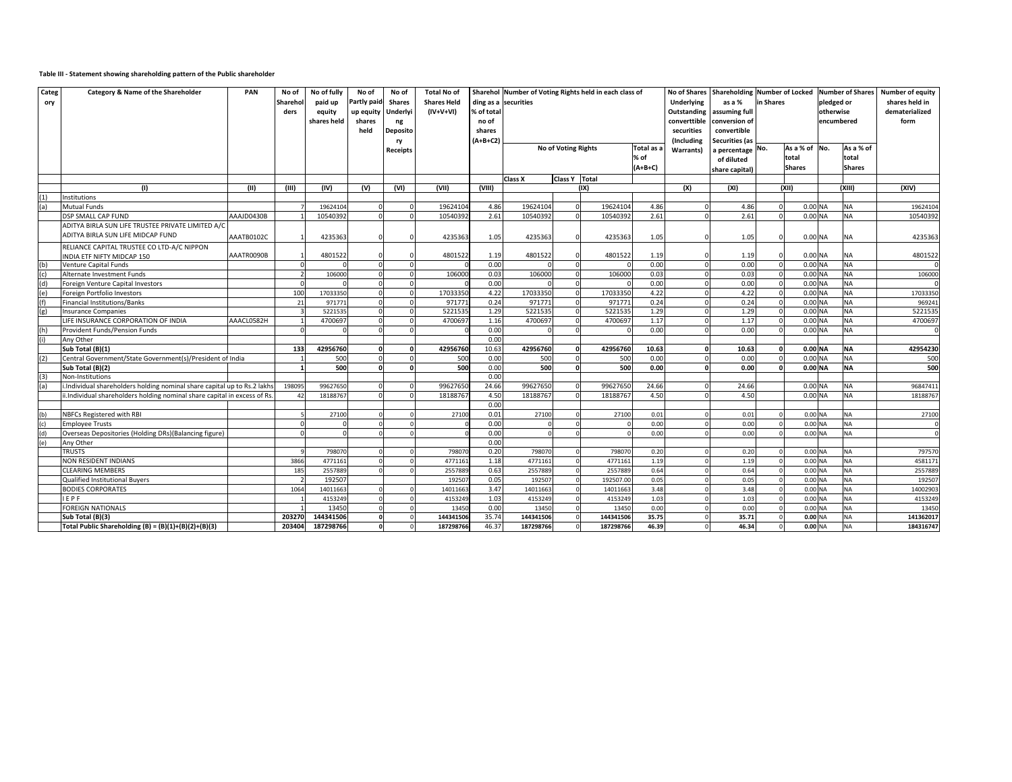## **Table III - Statement showing shareholding pattern of the Public shareholder**

| <b>Categ</b><br>ory | <b>Category &amp; Name of the Shareholder</b>                             | <b>PAN</b> | No of<br><b>Sharehol</b><br>ders | No of fully<br>paid up<br>equity<br>shares held | No of<br>Partly paid Shares<br>up equity<br>shares<br>held | No of<br>Underlyi<br>ng<br><b>Deposito</b><br><b>Receipts</b> | <b>Total No of</b><br><b>Shares Held</b><br>$(IV+V+VI)$ | $\vert$ ding as a $\vert$ securities<br>% of total<br>no of<br>shares<br>$(A+B+C2)$ |                | <b>No of Voting Rights</b> | Sharehol Number of Voting Rights held in each class of | Total as a     | <b>Underlying</b><br>converttible<br>securities<br>(Including<br><b>Warrants</b> ) | as a %<br>Outstanding   assuming full<br>conversion of<br>convertible<br><b>Securities (as</b><br>l a percentage   No. | No of Shares   Shareholding   Number of Locked<br>Number of Shares<br>in Shares<br>As a % of $\vert$ No. |           |                            | <b>Number of equity</b><br>shares held in<br>dematerialized<br>form |
|---------------------|---------------------------------------------------------------------------|------------|----------------------------------|-------------------------------------------------|------------------------------------------------------------|---------------------------------------------------------------|---------------------------------------------------------|-------------------------------------------------------------------------------------|----------------|----------------------------|--------------------------------------------------------|----------------|------------------------------------------------------------------------------------|------------------------------------------------------------------------------------------------------------------------|----------------------------------------------------------------------------------------------------------|-----------|----------------------------|---------------------------------------------------------------------|
|                     |                                                                           |            |                                  |                                                 |                                                            |                                                               |                                                         |                                                                                     |                |                            |                                                        | % of           |                                                                                    | of diluted                                                                                                             | total                                                                                                    |           | total                      |                                                                     |
|                     |                                                                           |            |                                  |                                                 |                                                            |                                                               |                                                         |                                                                                     |                |                            |                                                        | $(A+B+C)$      |                                                                                    | share capital)                                                                                                         | <b>Shares</b>                                                                                            |           | <b>Shares</b>              |                                                                     |
|                     |                                                                           |            |                                  |                                                 |                                                            |                                                               |                                                         |                                                                                     | <b>Class X</b> | Class Y   Total            |                                                        |                |                                                                                    |                                                                                                                        |                                                                                                          |           |                            |                                                                     |
|                     | (1)                                                                       | (11)       | (III)                            | (IV)                                            | (V)                                                        | (VI)                                                          | (VII)                                                   | (VIII)                                                                              |                |                            | (IX)                                                   |                | (X)                                                                                | (XI)                                                                                                                   | (XII)                                                                                                    |           | (XIII)                     | (XIV)                                                               |
| (1)                 | Institutions                                                              |            |                                  |                                                 |                                                            |                                                               |                                                         |                                                                                     |                |                            |                                                        |                |                                                                                    |                                                                                                                        |                                                                                                          |           |                            |                                                                     |
| (a)                 | <b>Mutual Funds</b>                                                       |            |                                  | 19624104                                        |                                                            |                                                               | 19624104                                                | 4.86                                                                                | 19624104       |                            | 19624104                                               | 4.86           |                                                                                    | 4.86                                                                                                                   |                                                                                                          | $0.00$ NA | <b>NA</b>                  | 19624104                                                            |
|                     | <b>DSP SMALL CAP FUND</b>                                                 | AAAJD0430B |                                  | 10540392                                        |                                                            |                                                               | 10540392                                                | 2.61                                                                                | 10540392       |                            | 10540392                                               | 2.61           |                                                                                    | 2.61                                                                                                                   |                                                                                                          | $0.00$ NA | <b>NA</b>                  | 10540392                                                            |
|                     | ADITYA BIRLA SUN LIFE TRUSTEE PRIVATE LIMITED A/C                         |            |                                  |                                                 |                                                            |                                                               |                                                         |                                                                                     |                |                            |                                                        |                |                                                                                    |                                                                                                                        |                                                                                                          |           |                            |                                                                     |
|                     | <b>ADITYA BIRLA SUN LIFE MIDCAP FUND</b>                                  | AAATB0102C |                                  | 4235363                                         |                                                            |                                                               | 4235363                                                 | 1.05                                                                                | 4235363        |                            | 4235363                                                | 1.05           |                                                                                    | 1.05                                                                                                                   |                                                                                                          | $0.00$ NA | <b>NA</b>                  | 4235363                                                             |
|                     | RELIANCE CAPITAL TRUSTEE CO LTD-A/C NIPPON                                |            |                                  |                                                 |                                                            |                                                               |                                                         |                                                                                     |                |                            |                                                        |                |                                                                                    |                                                                                                                        |                                                                                                          |           |                            |                                                                     |
|                     | INDIA ETF NIFTY MIDCAP 150                                                | AAATR0090B |                                  | 4801522                                         |                                                            |                                                               | 4801522                                                 | 1.19                                                                                | 4801522        |                            | 4801522                                                | 1.19           |                                                                                    | 1.19                                                                                                                   |                                                                                                          | $0.00$ NA | <b>NA</b>                  | 4801522                                                             |
| (b)                 | Venture Capital Funds                                                     |            |                                  |                                                 |                                                            |                                                               |                                                         | 0.00                                                                                |                |                            |                                                        | 0.00           |                                                                                    | 0.00                                                                                                                   |                                                                                                          | $0.00$ NA | <b>NA</b>                  |                                                                     |
| (c)                 | Alternate Investment Funds                                                |            |                                  | 106000                                          |                                                            |                                                               | 106000                                                  | 0.03                                                                                | 106000         |                            | 106000                                                 | 0.03           |                                                                                    | 0.03                                                                                                                   |                                                                                                          | $0.00$ NA | <b>NA</b>                  | 106000                                                              |
| (d)                 | Foreign Venture Capital Investors                                         |            |                                  |                                                 |                                                            |                                                               |                                                         | 0.00                                                                                |                |                            |                                                        | 0.00           |                                                                                    | 0.00                                                                                                                   |                                                                                                          | $0.00$ NA | <b>NA</b>                  |                                                                     |
| (e)                 | Foreign Portfolio Investors                                               |            | 100                              | 17033350                                        |                                                            |                                                               | 17033350                                                | 4.22                                                                                | 17033350       |                            | 17033350                                               | 4.22           |                                                                                    | 4.22                                                                                                                   |                                                                                                          | $0.00$ NA | <b>NA</b>                  | 17033350                                                            |
| (f)                 | <b>Financial Institutions/Banks</b>                                       |            | 2 <sup>1</sup>                   | 971771                                          |                                                            |                                                               | 971771                                                  | 0.24                                                                                | 971771         |                            | 971771                                                 | 0.24           |                                                                                    | 0.24                                                                                                                   |                                                                                                          | $0.00$ NA | <b>NA</b>                  | 969241                                                              |
| (g)                 | <b>Insurance Companies</b>                                                |            |                                  | 5221535                                         |                                                            |                                                               | 5221535                                                 | 1.29                                                                                | 5221535        |                            | 5221535                                                | 1.29           |                                                                                    | 1.29                                                                                                                   |                                                                                                          | $0.00$ NA | <b>NA</b>                  | 5221535                                                             |
|                     | LIFE INSURANCE CORPORATION OF INDIA                                       | AAACL0582H |                                  | 4700697                                         |                                                            |                                                               | 4700697                                                 | 1.16                                                                                | 4700697        |                            | 4700697                                                | 1.17           |                                                                                    | 1.17                                                                                                                   |                                                                                                          | $0.00$ NA | <b>NA</b>                  | 4700697                                                             |
| (h)                 | Provident Funds/Pension Funds                                             |            |                                  |                                                 |                                                            |                                                               |                                                         | 0.00                                                                                |                |                            |                                                        | 0.00           |                                                                                    | 0.00                                                                                                                   |                                                                                                          | $0.00$ NA | <b>NA</b>                  |                                                                     |
| (i)                 | Any Other                                                                 |            |                                  |                                                 |                                                            |                                                               |                                                         | 0.00                                                                                |                |                            |                                                        |                |                                                                                    |                                                                                                                        |                                                                                                          |           |                            |                                                                     |
|                     | Sub Total (B)(1)                                                          |            | 133                              | 42956760                                        |                                                            |                                                               | 42956760                                                | 10.63                                                                               | 42956760       |                            | 42956760                                               | 10.63          |                                                                                    | 10.63                                                                                                                  |                                                                                                          | $0.00$ NA | <b>NA</b>                  | 42954230                                                            |
| (2)                 | Central Government/State Government(s)/President of India                 |            |                                  | 500                                             |                                                            |                                                               | 500                                                     | 0.00                                                                                | 500            |                            |                                                        | 0.00<br>500    |                                                                                    | 0.00                                                                                                                   | ◡                                                                                                        | $0.00$ NA | <b>NIA</b><br>$\mathbf{I}$ | 500                                                                 |
|                     | Sub Total (B)(2)                                                          |            |                                  | 500                                             |                                                            |                                                               | 500                                                     | 0.00                                                                                | 500            |                            |                                                        | 500<br>0.00    |                                                                                    | 0.00                                                                                                                   |                                                                                                          | $0.00$ NA | <b>NA</b>                  | 500                                                                 |
| (3)                 | Non-Institutions                                                          |            |                                  |                                                 |                                                            |                                                               |                                                         | 0.00                                                                                |                |                            |                                                        |                |                                                                                    |                                                                                                                        |                                                                                                          |           |                            |                                                                     |
| (a)                 | i.Individual shareholders holding nominal share capital up to Rs.2 lakhs  |            | 198095                           | 99627650                                        |                                                            |                                                               | 99627650                                                | 24.66                                                                               | 99627650       |                            | 99627650                                               | 24.66          |                                                                                    | 24.66                                                                                                                  |                                                                                                          | $0.00$ NA | <b>NA</b>                  | 96847411                                                            |
|                     | ii.Individual shareholders holding nominal share capital in excess of Rs. |            | -42                              | 18188767                                        |                                                            |                                                               | 18188767                                                | 4.50                                                                                | 18188767       |                            | 18188767                                               | 4.50           |                                                                                    | 4.50                                                                                                                   |                                                                                                          | $0.00$ NA | <b>NA</b>                  | 18188767                                                            |
|                     |                                                                           |            |                                  |                                                 |                                                            |                                                               |                                                         | 0.00                                                                                |                |                            |                                                        |                |                                                                                    |                                                                                                                        |                                                                                                          |           |                            |                                                                     |
| (b)                 | NBFCs Registered with RBI                                                 |            |                                  | 27100                                           |                                                            |                                                               | 27100                                                   | 0.01                                                                                | 27100          |                            | 27100                                                  | 0.01           |                                                                                    | 0.01                                                                                                                   |                                                                                                          | $0.00$ NA | <b>NA</b>                  | 27100                                                               |
| (c)                 | <b>Employee Trusts</b>                                                    |            |                                  |                                                 |                                                            |                                                               |                                                         | 0.00                                                                                |                |                            |                                                        | 0.00           |                                                                                    | 0.00                                                                                                                   |                                                                                                          | $0.00$ NA | <b>NA</b>                  |                                                                     |
| (d)                 | Overseas Depositories (Holding DRs) (Balancing figure)                    |            |                                  |                                                 |                                                            |                                                               |                                                         | 0.00                                                                                |                |                            |                                                        | 0.00           |                                                                                    | 0.00                                                                                                                   |                                                                                                          | $0.00$ NA | <b>NA</b>                  |                                                                     |
| (e)                 | Any Other                                                                 |            |                                  |                                                 |                                                            |                                                               |                                                         | 0.00                                                                                |                |                            |                                                        |                |                                                                                    |                                                                                                                        |                                                                                                          |           |                            |                                                                     |
|                     | <b>TRUSTS</b>                                                             |            |                                  | 798070                                          |                                                            |                                                               | 798070                                                  | 0.20                                                                                | 798070         |                            | 798070                                                 | 0.20           |                                                                                    | 0.20                                                                                                                   |                                                                                                          | $0.00$ NA | <b>NA</b>                  | 797570                                                              |
|                     | <b>NON RESIDENT INDIANS</b>                                               |            | 3866                             | 4771161                                         |                                                            |                                                               | 4771161                                                 | 1.18                                                                                | 4771161        |                            | 4771161                                                | 1.19           |                                                                                    | 1.19                                                                                                                   |                                                                                                          | $0.00$ NA | <b>NA</b>                  | 4581171                                                             |
|                     | <b>CLEARING MEMBERS</b>                                                   |            | 185                              | 2557889                                         |                                                            |                                                               | 2557889                                                 | 0.63                                                                                | 2557889        |                            | 2557889                                                | 0.64           |                                                                                    | 0.64                                                                                                                   |                                                                                                          | $0.00$ NA |                            | 2557889                                                             |
|                     | <b>Qualified Institutional Buyers</b>                                     |            |                                  | 192507                                          |                                                            |                                                               | 192507                                                  | 0.05                                                                                | 192507         |                            | 192507.00                                              | 0.05           |                                                                                    | 0.05                                                                                                                   |                                                                                                          | $0.00$ NA | <b>NA</b>                  | 192507                                                              |
|                     | <b>BODIES CORPORATES</b>                                                  |            | 1064                             | 14011663                                        |                                                            |                                                               | 14011663                                                | 3.47                                                                                | 14011663       |                            | 14011663                                               | 3.48           |                                                                                    | 3.48                                                                                                                   |                                                                                                          | $0.00$ NA | <b>NA</b>                  | 14002903                                                            |
|                     | IEPF                                                                      |            |                                  | 4153249                                         |                                                            |                                                               | 4153249                                                 | 1.03                                                                                | 4153249        |                            | 4153249                                                | 1.03           |                                                                                    | 1.03                                                                                                                   |                                                                                                          | $0.00$ NA | <b>NA</b>                  | 4153249                                                             |
|                     | <b>FOREIGN NATIONALS</b>                                                  |            | 203270                           | 13450<br>144341506                              |                                                            |                                                               | 13450                                                   | 0.00<br>35.74                                                                       | 13450          |                            | 13450                                                  | 0.00           |                                                                                    | 0.00                                                                                                                   |                                                                                                          | $0.00$ NA | <b>NA</b>                  | 13450                                                               |
|                     | Sub Total (B)(3)                                                          |            | 203404                           | 187298766                                       | <sup>n</sup>                                               |                                                               | 144341506<br>187298766                                  | 46.37                                                                               | 144341506      |                            | 144341506                                              | 35.75<br>46.39 |                                                                                    | 35.71                                                                                                                  |                                                                                                          | $0.00$ NA | <b>NA</b>                  | 141362017                                                           |
|                     | Total Public Shareholding (B) = $(B)(1)+(B)(2)+(B)(3)$                    |            |                                  |                                                 |                                                            |                                                               |                                                         |                                                                                     | 187298766      |                            | 187298766                                              |                |                                                                                    | 46.34                                                                                                                  |                                                                                                          | $0.00$ NA | <b>NA</b>                  | 184316747                                                           |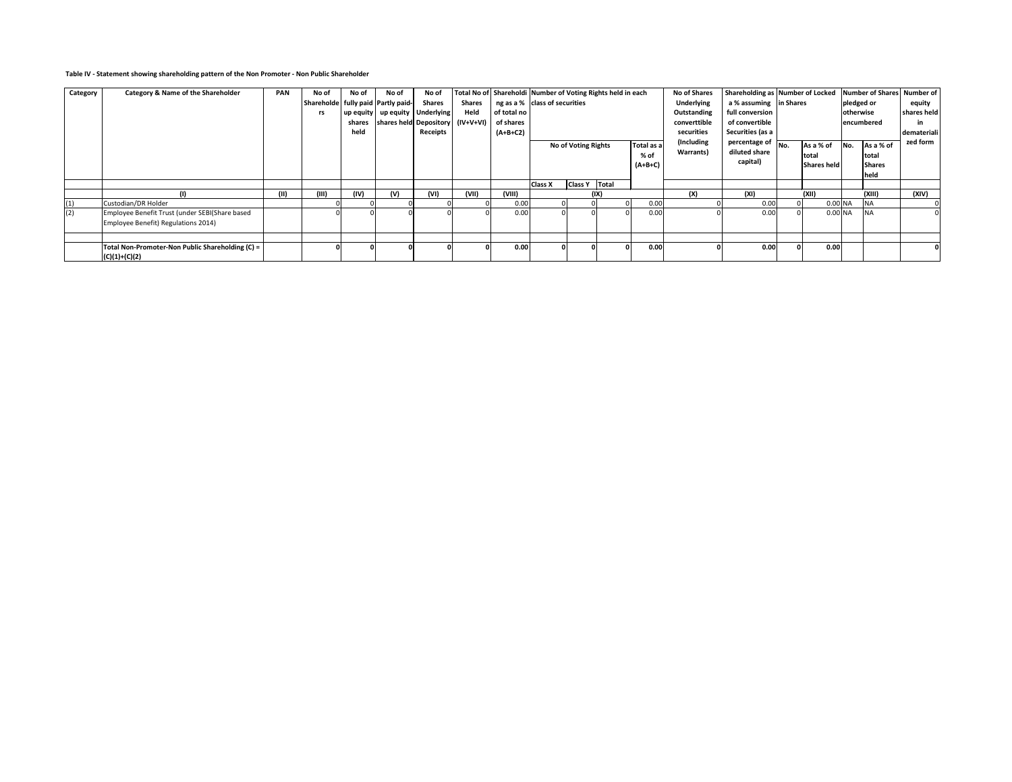| <b>Category</b> | <b>Category &amp; Name of the Shareholder</b>                                         | <b>PAN</b> | No of<br>Shareholde   fully paid   Partly paid-<br>rs | No of<br>shares<br>held | No of | No of<br><b>Shares</b><br>  up equity   up equity   Underlying  <br>shares held Depository<br><b>Receipts</b> | <b>Shares</b><br>Held<br>(IV+V+VI) | of total no<br>of shares<br>(A+B+C2) | Total No of Shareholdi Number of Voting Rights held in each<br>ng as a $%$ class of securities |                 |                                 |                                 | <b>No of Shares</b><br><b>Underlying</b><br>Outstanding<br>converttible<br>securities                     | Shareholding as Number of Locked<br>a % assuming   in Shares<br>full conversion<br>of convertible<br>Securities (as a |           |           | pledged or<br>otherwise<br>encumbered                     |           | Number of Shares Number of<br>equity<br>shares held<br>demateriali |
|-----------------|---------------------------------------------------------------------------------------|------------|-------------------------------------------------------|-------------------------|-------|---------------------------------------------------------------------------------------------------------------|------------------------------------|--------------------------------------|------------------------------------------------------------------------------------------------|-----------------|---------------------------------|---------------------------------|-----------------------------------------------------------------------------------------------------------|-----------------------------------------------------------------------------------------------------------------------|-----------|-----------|-----------------------------------------------------------|-----------|--------------------------------------------------------------------|
|                 |                                                                                       |            |                                                       |                         |       |                                                                                                               |                                    |                                      | No of Voting Rights                                                                            |                 | Total as a<br>% of<br>$(A+B+C)$ | (Including<br><b>Warrants</b> ) | percentage of $\boxed{\phantom{1}}$ No.<br>As a % of<br>diluted share<br>total<br>capital)<br>Shares held |                                                                                                                       |           |           | $\sqrt{NQ}$ . As a % of<br>total<br><b>Shares</b><br>held | zed form  |                                                                    |
|                 |                                                                                       |            |                                                       |                         |       |                                                                                                               |                                    |                                      | <b>Class X</b>                                                                                 | Class Y   Total |                                 |                                 |                                                                                                           |                                                                                                                       |           |           |                                                           |           |                                                                    |
|                 | $\mathbf{u}$                                                                          |            | (III)                                                 | (IV)                    | (V)   | (VI)                                                                                                          | (VII)                              | (VIII)                               |                                                                                                |                 | (IX)                            |                                 | (X)                                                                                                       | (XI)                                                                                                                  | (XII)     |           |                                                           | (XIII)    | (XIV)                                                              |
| (1)             | Custodian/DR Holder                                                                   |            |                                                       |                         |       |                                                                                                               |                                    | 0.00                                 |                                                                                                |                 |                                 | 0.00                            |                                                                                                           | 0.00                                                                                                                  |           | $0.00$ NA |                                                           | <b>NA</b> |                                                                    |
| (2)             | Employee Benefit Trust (under SEBI(Share based<br>Employee Benefit) Regulations 2014) |            |                                                       |                         |       |                                                                                                               |                                    | 0.00                                 |                                                                                                |                 | 0.00                            |                                 | 0.00                                                                                                      |                                                                                                                       | $0.00$ NA |           | <b>NA</b>                                                 |           |                                                                    |
|                 |                                                                                       |            |                                                       |                         |       |                                                                                                               |                                    |                                      |                                                                                                |                 |                                 |                                 |                                                                                                           |                                                                                                                       |           |           |                                                           |           |                                                                    |
|                 | Total Non-Promoter-Non Public Shareholding (C) =<br>$(C)(1)+(C)(2)$                   |            |                                                       |                         |       |                                                                                                               |                                    | 0.00                                 |                                                                                                |                 | <sup>0</sup>                    | 0.00                            |                                                                                                           | 0.00                                                                                                                  |           | 0.00      |                                                           |           |                                                                    |